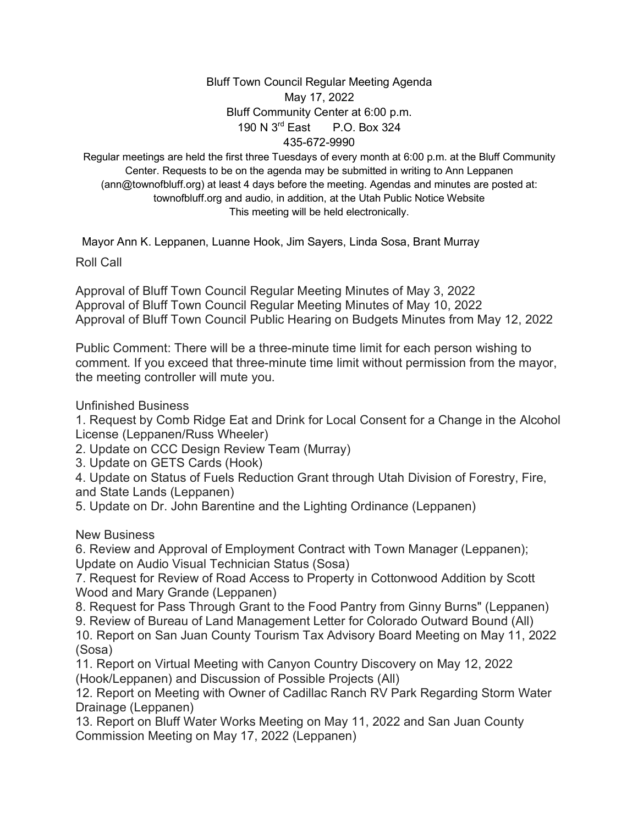## Bluff Town Council Regular Meeting Agenda May 17, 2022 Bluff Community Center at 6:00 p.m. 190 N 3rd East P.O. Box 324 435-672-9990

Regular meetings are held the first three Tuesdays of every month at 6:00 p.m. at the Bluff Community Center. Requests to be on the agenda may be submitted in writing to Ann Leppanen (ann@townofbluff.org) at least 4 days before the meeting. Agendas and minutes are posted at: townofbluff.org and audio, in addition, at the Utah Public Notice Website This meeting will be held electronically.

Mayor Ann K. Leppanen, Luanne Hook, Jim Sayers, Linda Sosa, Brant Murray

Roll Call

Approval of Bluff Town Council Regular Meeting Minutes of May 3, 2022 Approval of Bluff Town Council Regular Meeting Minutes of May 10, 2022 Approval of Bluff Town Council Public Hearing on Budgets Minutes from May 12, 2022

Public Comment: There will be a three-minute time limit for each person wishing to comment. If you exceed that three-minute time limit without permission from the mayor, the meeting controller will mute you.

Unfinished Business

1. Request by Comb Ridge Eat and Drink for Local Consent for a Change in the Alcohol License (Leppanen/Russ Wheeler)

2. Update on CCC Design Review Team (Murray)

3. Update on GETS Cards (Hook)

4. Update on Status of Fuels Reduction Grant through Utah Division of Forestry, Fire, and State Lands (Leppanen)

5. Update on Dr. John Barentine and the Lighting Ordinance (Leppanen)

New Business

6. Review and Approval of Employment Contract with Town Manager (Leppanen); Update on Audio Visual Technician Status (Sosa)

7. Request for Review of Road Access to Property in Cottonwood Addition by Scott Wood and Mary Grande (Leppanen)

8. Request for Pass Through Grant to the Food Pantry from Ginny Burns" (Leppanen)

9. Review of Bureau of Land Management Letter for Colorado Outward Bound (All)

10. Report on San Juan County Tourism Tax Advisory Board Meeting on May 11, 2022 (Sosa)

11. Report on Virtual Meeting with Canyon Country Discovery on May 12, 2022 (Hook/Leppanen) and Discussion of Possible Projects (All)

12. Report on Meeting with Owner of Cadillac Ranch RV Park Regarding Storm Water Drainage (Leppanen)

13. Report on Bluff Water Works Meeting on May 11, 2022 and San Juan County Commission Meeting on May 17, 2022 (Leppanen)